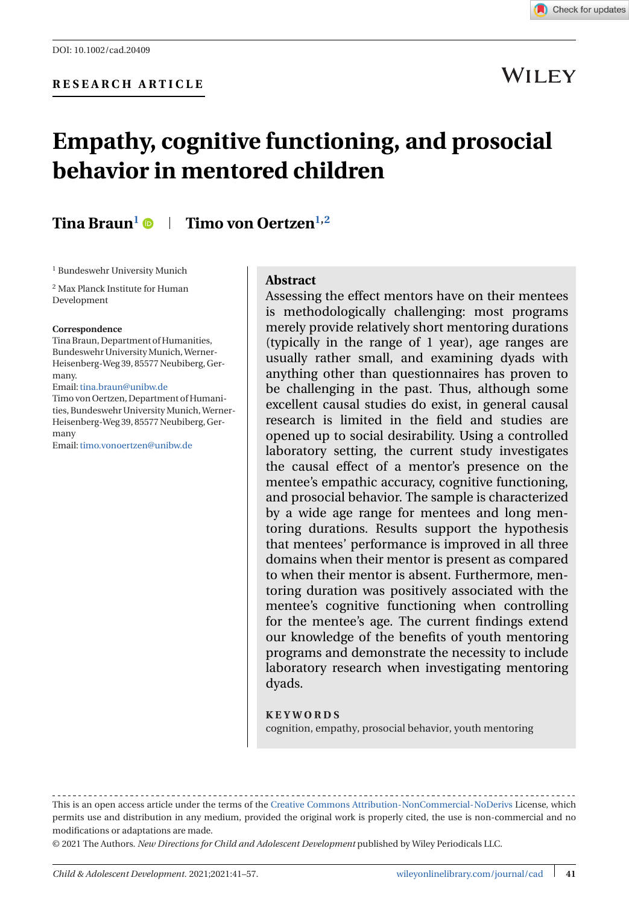

## **WILEY**

# **Empathy, cognitive functioning, and prosocial behavior in mentored children**

## **Tina Braun<sup>1</sup>**  $\bullet$  **| Timo von Oertzen**<sup>1,2</sup>

<sup>1</sup> Bundeswehr University Munich

<sup>2</sup> Max Planck Institute for Human Development

#### **Correspondence**

Tina Braun, Department of Humanities, Bundeswehr UniversityMunich,Werner-Heisenberg-Weg 39, 85577 Neubiberg, Germany. Email:[tina.braun@unibw.de](mailto:tina.braun@unibw.de)

Timo von Oertzen, Department of Humanities, Bundeswehr UniversityMunich,Werner-Heisenberg-Weg 39, 85577 Neubiberg, Germany

Email:[timo.vonoertzen@unibw.de](mailto:timo.vonoertzen@unibw.de)

#### **Abstract**

Assessing the effect mentors have on their mentees is methodologically challenging: most programs merely provide relatively short mentoring durations (typically in the range of 1 year), age ranges are usually rather small, and examining dyads with anything other than questionnaires has proven to be challenging in the past. Thus, although some excellent causal studies do exist, in general causal research is limited in the field and studies are opened up to social desirability. Using a controlled laboratory setting, the current study investigates the causal effect of a mentor's presence on the mentee's empathic accuracy, cognitive functioning, and prosocial behavior. The sample is characterized by a wide age range for mentees and long mentoring durations. Results support the hypothesis that mentees' performance is improved in all three domains when their mentor is present as compared to when their mentor is absent. Furthermore, mentoring duration was positively associated with the mentee's cognitive functioning when controlling for the mentee's age. The current findings extend our knowledge of the benefits of youth mentoring programs and demonstrate the necessity to include laboratory research when investigating mentoring dyads.

#### **KEYWORDS**

cognition, empathy, prosocial behavior, youth mentoring

© 2021 The Authors. *New Directions for Child and Adolescent Development* published by Wiley Periodicals LLC.

This is an open access article under the terms of the [Creative Commons Attribution-NonCommercial-NoDerivs](http://creativecommons.org/licenses/by-nc-nd/4.0/) License, which permits use and distribution in any medium, provided the original work is properly cited, the use is non-commercial and no modifications or adaptations are made.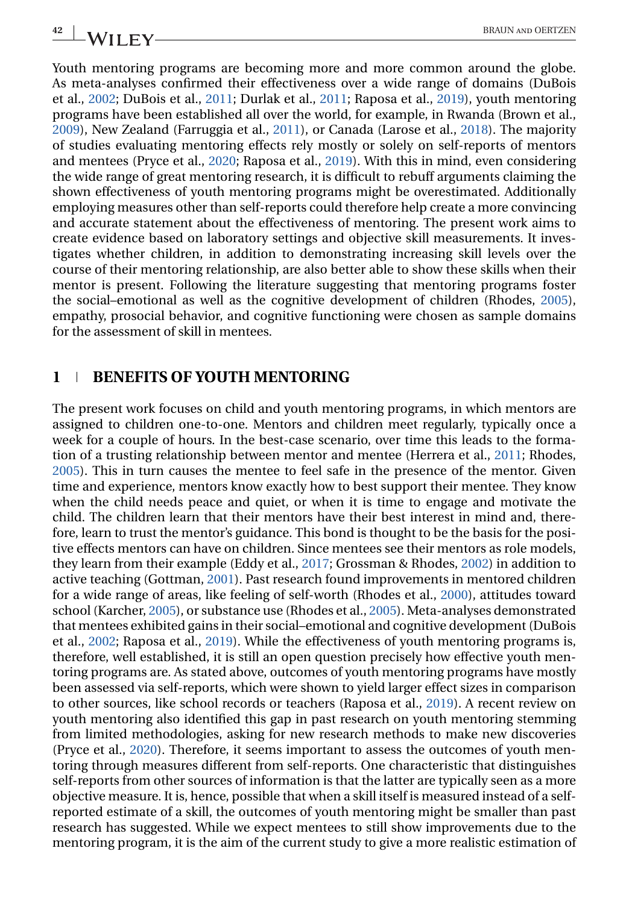Youth mentoring programs are becoming more and more common around the globe. As meta-analyses confirmed their effectiveness over a wide range of domains (DuBois et al., [2002;](#page-15-0) DuBois et al., [2011;](#page-15-0) Durlak et al., [2011;](#page-15-0) Raposa et al., [2019\)](#page-16-0), youth mentoring programs have been established all over the world, for example, in Rwanda (Brown et al., [2009\)](#page-14-0), New Zealand (Farruggia et al., [2011\)](#page-15-0), or Canada (Larose et al., [2018\)](#page-15-0). The majority of studies evaluating mentoring effects rely mostly or solely on self-reports of mentors and mentees (Pryce et al., [2020;](#page-15-0) Raposa et al., [2019\)](#page-16-0). With this in mind, even considering the wide range of great mentoring research, it is difficult to rebuff arguments claiming the shown effectiveness of youth mentoring programs might be overestimated. Additionally employing measures other than self-reports could therefore help create a more convincing and accurate statement about the effectiveness of mentoring. The present work aims to create evidence based on laboratory settings and objective skill measurements. It investigates whether children, in addition to demonstrating increasing skill levels over the course of their mentoring relationship, are also better able to show these skills when their mentor is present. Following the literature suggesting that mentoring programs foster the social–emotional as well as the cognitive development of children (Rhodes, [2005\)](#page-16-0), empathy, prosocial behavior, and cognitive functioning were chosen as sample domains for the assessment of skill in mentees.

#### **1 BENEFITS OF YOUTH MENTORING**

The present work focuses on child and youth mentoring programs, in which mentors are assigned to children one-to-one. Mentors and children meet regularly, typically once a week for a couple of hours. In the best-case scenario, over time this leads to the formation of a trusting relationship between mentor and mentee (Herrera et al., [2011;](#page-15-0) Rhodes, [2005\)](#page-16-0). This in turn causes the mentee to feel safe in the presence of the mentor. Given time and experience, mentors know exactly how to best support their mentee. They know when the child needs peace and quiet, or when it is time to engage and motivate the child. The children learn that their mentors have their best interest in mind and, therefore, learn to trust the mentor's guidance. This bond is thought to be the basis for the positive effects mentors can have on children. Since mentees see their mentors as role models, they learn from their example (Eddy et al., [2017;](#page-15-0) Grossman & Rhodes, [2002\)](#page-15-0) in addition to active teaching (Gottman, [2001\)](#page-15-0). Past research found improvements in mentored children for a wide range of areas, like feeling of self-worth (Rhodes et al., [2000\)](#page-16-0), attitudes toward school (Karcher, [2005\)](#page-15-0), or substance use (Rhodes et al., [2005\)](#page-16-0). Meta-analyses demonstrated that mentees exhibited gains in their social–emotional and cognitive development (DuBois et al., [2002;](#page-15-0) Raposa et al., [2019\)](#page-16-0). While the effectiveness of youth mentoring programs is, therefore, well established, it is still an open question precisely how effective youth mentoring programs are. As stated above, outcomes of youth mentoring programs have mostly been assessed via self-reports, which were shown to yield larger effect sizes in comparison to other sources, like school records or teachers (Raposa et al., [2019\)](#page-16-0). A recent review on youth mentoring also identified this gap in past research on youth mentoring stemming from limited methodologies, asking for new research methods to make new discoveries (Pryce et al., [2020\)](#page-15-0). Therefore, it seems important to assess the outcomes of youth mentoring through measures different from self-reports. One characteristic that distinguishes self-reports from other sources of information is that the latter are typically seen as a more objective measure. It is, hence, possible that when a skill itself is measured instead of a selfreported estimate of a skill, the outcomes of youth mentoring might be smaller than past research has suggested. While we expect mentees to still show improvements due to the mentoring program, it is the aim of the current study to give a more realistic estimation of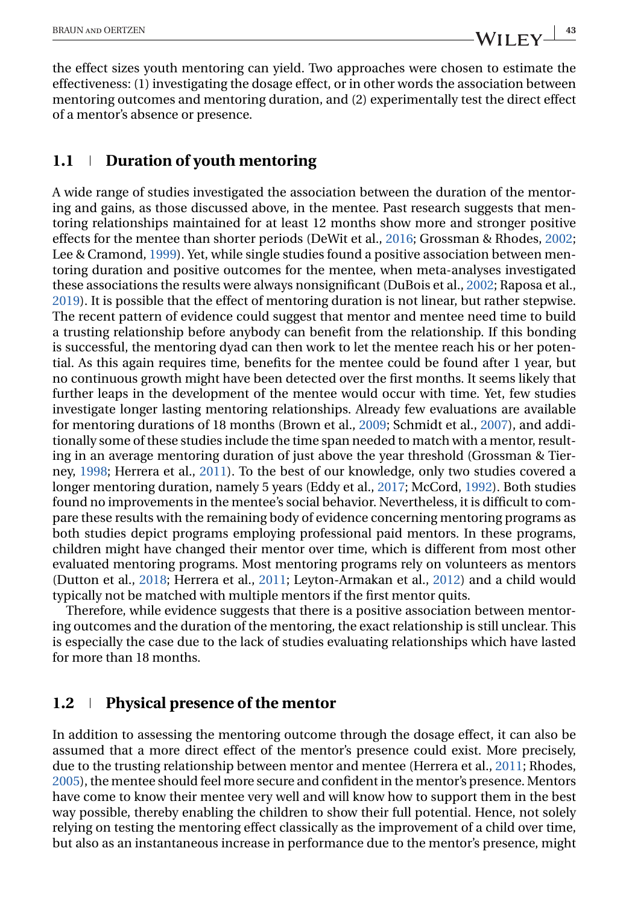the effect sizes youth mentoring can yield. Two approaches were chosen to estimate the effectiveness: (1) investigating the dosage effect, or in other words the association between mentoring outcomes and mentoring duration, and (2) experimentally test the direct effect of a mentor's absence or presence.

## **1.1 Duration of youth mentoring**

A wide range of studies investigated the association between the duration of the mentoring and gains, as those discussed above, in the mentee. Past research suggests that mentoring relationships maintained for at least 12 months show more and stronger positive effects for the mentee than shorter periods (DeWit et al., [2016;](#page-14-0) Grossman & Rhodes, [2002;](#page-15-0) Lee & Cramond, [1999\)](#page-15-0). Yet, while single studies found a positive association between mentoring duration and positive outcomes for the mentee, when meta-analyses investigated these associations the results were always nonsignificant (DuBois et al., [2002;](#page-15-0) Raposa et al., [2019\)](#page-16-0). It is possible that the effect of mentoring duration is not linear, but rather stepwise. The recent pattern of evidence could suggest that mentor and mentee need time to build a trusting relationship before anybody can benefit from the relationship. If this bonding is successful, the mentoring dyad can then work to let the mentee reach his or her potential. As this again requires time, benefits for the mentee could be found after 1 year, but no continuous growth might have been detected over the first months. It seems likely that further leaps in the development of the mentee would occur with time. Yet, few studies investigate longer lasting mentoring relationships. Already few evaluations are available for mentoring durations of 18 months (Brown et al., [2009;](#page-14-0) Schmidt et al., [2007\)](#page-16-0), and additionally some of these studies include the time span needed to match with a mentor, resulting in an average mentoring duration of just above the year threshold (Grossman & Tierney, [1998;](#page-15-0) Herrera et al., [2011\)](#page-15-0). To the best of our knowledge, only two studies covered a longer mentoring duration, namely 5 years (Eddy et al., [2017;](#page-15-0) McCord, [1992\)](#page-15-0). Both studies found no improvements in the mentee's social behavior. Nevertheless, it is difficult to compare these results with the remaining body of evidence concerning mentoring programs as both studies depict programs employing professional paid mentors. In these programs, children might have changed their mentor over time, which is different from most other evaluated mentoring programs. Most mentoring programs rely on volunteers as mentors (Dutton et al., [2018;](#page-15-0) Herrera et al., [2011;](#page-15-0) Leyton-Armakan et al., [2012\)](#page-15-0) and a child would typically not be matched with multiple mentors if the first mentor quits.

Therefore, while evidence suggests that there is a positive association between mentoring outcomes and the duration of the mentoring, the exact relationship is still unclear. This is especially the case due to the lack of studies evaluating relationships which have lasted for more than 18 months.

#### **1.2 Physical presence of the mentor**

In addition to assessing the mentoring outcome through the dosage effect, it can also be assumed that a more direct effect of the mentor's presence could exist. More precisely, due to the trusting relationship between mentor and mentee (Herrera et al., [2011;](#page-15-0) Rhodes, [2005\)](#page-16-0), the mentee should feel more secure and confident in the mentor's presence. Mentors have come to know their mentee very well and will know how to support them in the best way possible, thereby enabling the children to show their full potential. Hence, not solely relying on testing the mentoring effect classically as the improvement of a child over time, but also as an instantaneous increase in performance due to the mentor's presence, might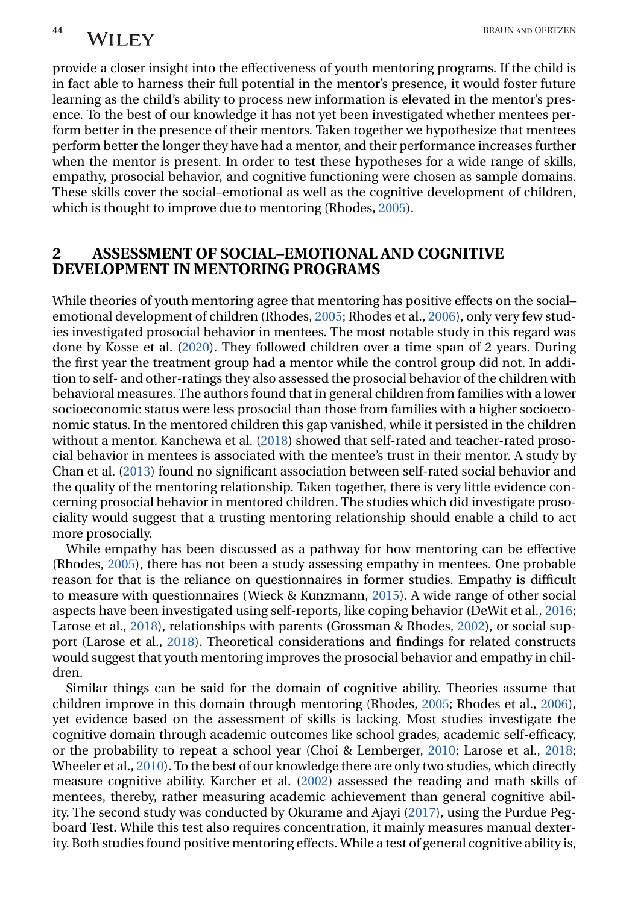provide a closer insight into the effectiveness of youth mentoring programs. If the child is in fact able to harness their full potential in the mentor's presence, it would foster future learning as the child's ability to process new information is elevated in the mentor's presence. To the best of our knowledge it has not yet been investigated whether mentees perform better in the presence of their mentors. Taken together we hypothesize that mentees perform better the longer they have had a mentor, and their performance increases further when the mentor is present. In order to test these hypotheses for a wide range of skills, empathy, prosocial behavior, and cognitive functioning were chosen as sample domains. These skills cover the social–emotional as well as the cognitive development of children, which is thought to improve due to mentoring (Rhodes, [2005\)](#page-16-0).

#### **2 ASSESSMENT OF SOCIAL–EMOTIONAL AND COGNITIVE DEVELOPMENT IN MENTORING PROGRAMS**

While theories of youth mentoring agree that mentoring has positive effects on the social– emotional development of children (Rhodes, [2005;](#page-16-0) Rhodes et al., [2006\)](#page-16-0), only very few studies investigated prosocial behavior in mentees. The most notable study in this regard was done by Kosse et al. [\(2020\)](#page-15-0). They followed children over a time span of 2 years. During the first year the treatment group had a mentor while the control group did not. In addition to self- and other-ratings they also assessed the prosocial behavior of the children with behavioral measures. The authors found that in general children from families with a lower socioeconomic status were less prosocial than those from families with a higher socioeconomic status. In the mentored children this gap vanished, while it persisted in the children without a mentor. Kanchewa et al. [\(2018\)](#page-15-0) showed that self-rated and teacher-rated prosocial behavior in mentees is associated with the mentee's trust in their mentor. A study by Chan et al. [\(2013\)](#page-14-0) found no significant association between self-rated social behavior and the quality of the mentoring relationship. Taken together, there is very little evidence concerning prosocial behavior in mentored children. The studies which did investigate prosociality would suggest that a trusting mentoring relationship should enable a child to act more prosocially.

While empathy has been discussed as a pathway for how mentoring can be effective (Rhodes, [2005\)](#page-16-0), there has not been a study assessing empathy in mentees. One probable reason for that is the reliance on questionnaires in former studies. Empathy is difficult to measure with questionnaires (Wieck & Kunzmann, [2015\)](#page-16-0). A wide range of other social aspects have been investigated using self-reports, like coping behavior (DeWit et al., [2016;](#page-14-0) Larose et al., [2018\)](#page-15-0), relationships with parents (Grossman & Rhodes, [2002\)](#page-15-0), or social support (Larose et al., [2018\)](#page-15-0). Theoretical considerations and findings for related constructs would suggest that youth mentoring improves the prosocial behavior and empathy in children.

Similar things can be said for the domain of cognitive ability. Theories assume that children improve in this domain through mentoring (Rhodes, [2005;](#page-16-0) Rhodes et al., [2006\)](#page-16-0), yet evidence based on the assessment of skills is lacking. Most studies investigate the cognitive domain through academic outcomes like school grades, academic self-efficacy, or the probability to repeat a school year (Choi & Lemberger, [2010;](#page-14-0) Larose et al., [2018;](#page-15-0) Wheeler et al., [2010\)](#page-16-0). To the best of our knowledge there are only two studies, which directly measure cognitive ability. Karcher et al. [\(2002\)](#page-15-0) assessed the reading and math skills of mentees, thereby, rather measuring academic achievement than general cognitive ability. The second study was conducted by Okurame and Ajayi [\(2017\)](#page-15-0), using the Purdue Pegboard Test. While this test also requires concentration, it mainly measures manual dexterity. Both studies found positive mentoring effects. While a test of general cognitive ability is,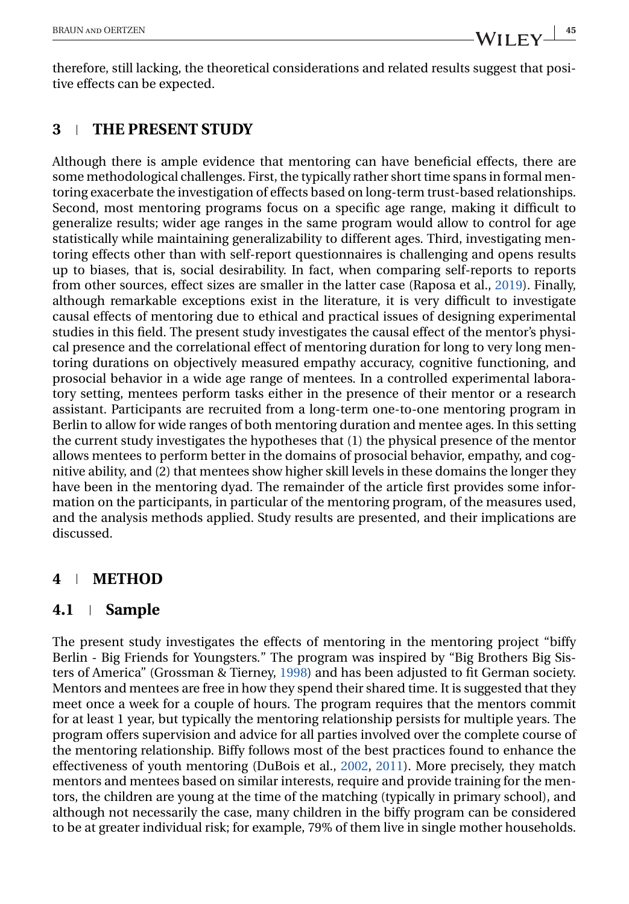therefore, still lacking, the theoretical considerations and related results suggest that positive effects can be expected.

## **3 THE PRESENT STUDY**

Although there is ample evidence that mentoring can have beneficial effects, there are some methodological challenges. First, the typically rather short time spans in formal mentoring exacerbate the investigation of effects based on long-term trust-based relationships. Second, most mentoring programs focus on a specific age range, making it difficult to generalize results; wider age ranges in the same program would allow to control for age statistically while maintaining generalizability to different ages. Third, investigating mentoring effects other than with self-report questionnaires is challenging and opens results up to biases, that is, social desirability. In fact, when comparing self-reports to reports from other sources, effect sizes are smaller in the latter case (Raposa et al., [2019\)](#page-16-0). Finally, although remarkable exceptions exist in the literature, it is very difficult to investigate causal effects of mentoring due to ethical and practical issues of designing experimental studies in this field. The present study investigates the causal effect of the mentor's physical presence and the correlational effect of mentoring duration for long to very long mentoring durations on objectively measured empathy accuracy, cognitive functioning, and prosocial behavior in a wide age range of mentees. In a controlled experimental laboratory setting, mentees perform tasks either in the presence of their mentor or a research assistant. Participants are recruited from a long-term one-to-one mentoring program in Berlin to allow for wide ranges of both mentoring duration and mentee ages. In this setting the current study investigates the hypotheses that (1) the physical presence of the mentor allows mentees to perform better in the domains of prosocial behavior, empathy, and cognitive ability, and (2) that mentees show higher skill levels in these domains the longer they have been in the mentoring dyad. The remainder of the article first provides some information on the participants, in particular of the mentoring program, of the measures used, and the analysis methods applied. Study results are presented, and their implications are discussed.

## **4 METHOD**

## **4.1 Sample**

The present study investigates the effects of mentoring in the mentoring project "biffy Berlin - Big Friends for Youngsters." The program was inspired by "Big Brothers Big Sisters of America" (Grossman & Tierney, [1998\)](#page-15-0) and has been adjusted to fit German society. Mentors and mentees are free in how they spend their shared time. It is suggested that they meet once a week for a couple of hours. The program requires that the mentors commit for at least 1 year, but typically the mentoring relationship persists for multiple years. The program offers supervision and advice for all parties involved over the complete course of the mentoring relationship. Biffy follows most of the best practices found to enhance the effectiveness of youth mentoring (DuBois et al., [2002,](#page-15-0) [2011\)](#page-15-0). More precisely, they match mentors and mentees based on similar interests, require and provide training for the mentors, the children are young at the time of the matching (typically in primary school), and although not necessarily the case, many children in the biffy program can be considered to be at greater individual risk; for example, 79% of them live in single mother households.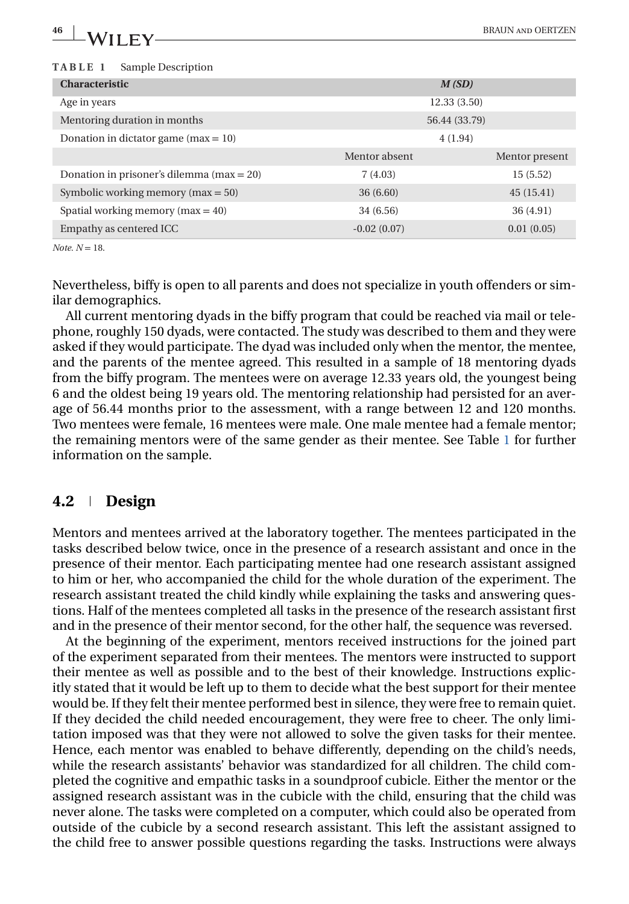#### <span id="page-5-0"></span>**TABLE 1** Sample Description

|               | M(SD)          |
|---------------|----------------|
| 12.33(3.50)   |                |
| 56.44 (33.79) |                |
| 4(1.94)       |                |
| Mentor absent | Mentor present |
| 7(4.03)       | 15(5.52)       |
| 36(6.60)      | 45(15.41)      |
| 34 (6.56)     | 36 (4.91)      |
| $-0.02(0.07)$ | 0.01(0.05)     |
|               |                |

*Note. N* = 18.

Nevertheless, biffy is open to all parents and does not specialize in youth offenders or similar demographics.

All current mentoring dyads in the biffy program that could be reached via mail or telephone, roughly 150 dyads, were contacted. The study was described to them and they were asked if they would participate. The dyad was included only when the mentor, the mentee, and the parents of the mentee agreed. This resulted in a sample of 18 mentoring dyads from the biffy program. The mentees were on average 12.33 years old, the youngest being 6 and the oldest being 19 years old. The mentoring relationship had persisted for an average of 56.44 months prior to the assessment, with a range between 12 and 120 months. Two mentees were female, 16 mentees were male. One male mentee had a female mentor; the remaining mentors were of the same gender as their mentee. See Table 1 for further information on the sample.

#### **4.2 Design**

Mentors and mentees arrived at the laboratory together. The mentees participated in the tasks described below twice, once in the presence of a research assistant and once in the presence of their mentor. Each participating mentee had one research assistant assigned to him or her, who accompanied the child for the whole duration of the experiment. The research assistant treated the child kindly while explaining the tasks and answering questions. Half of the mentees completed all tasks in the presence of the research assistant first and in the presence of their mentor second, for the other half, the sequence was reversed.

At the beginning of the experiment, mentors received instructions for the joined part of the experiment separated from their mentees. The mentors were instructed to support their mentee as well as possible and to the best of their knowledge. Instructions explicitly stated that it would be left up to them to decide what the best support for their mentee would be. If they felt their mentee performed best in silence, they were free to remain quiet. If they decided the child needed encouragement, they were free to cheer. The only limitation imposed was that they were not allowed to solve the given tasks for their mentee. Hence, each mentor was enabled to behave differently, depending on the child's needs, while the research assistants' behavior was standardized for all children. The child completed the cognitive and empathic tasks in a soundproof cubicle. Either the mentor or the assigned research assistant was in the cubicle with the child, ensuring that the child was never alone. The tasks were completed on a computer, which could also be operated from outside of the cubicle by a second research assistant. This left the assistant assigned to the child free to answer possible questions regarding the tasks. Instructions were always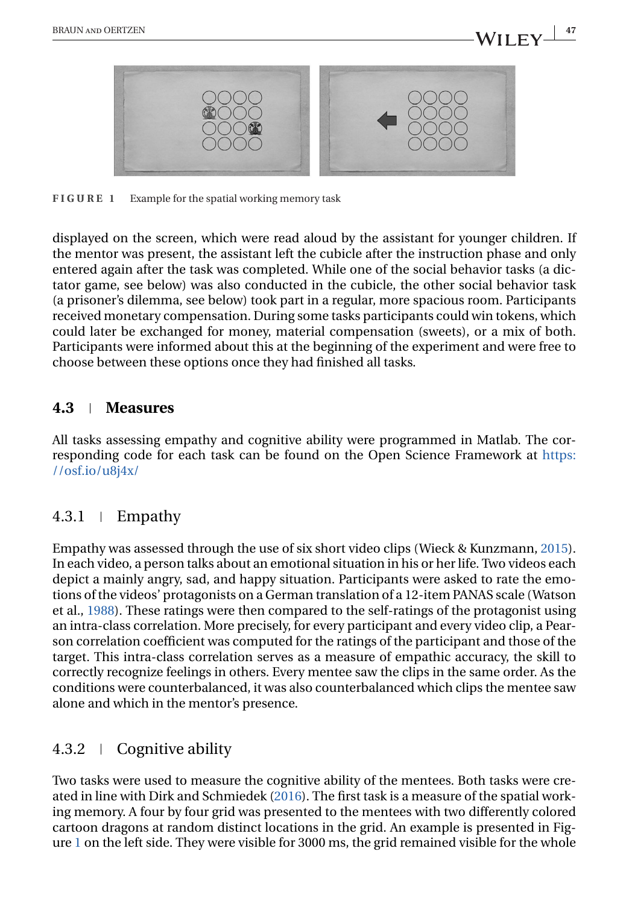<span id="page-6-0"></span>

**FIGURE 1** Example for the spatial working memory task

displayed on the screen, which were read aloud by the assistant for younger children. If the mentor was present, the assistant left the cubicle after the instruction phase and only entered again after the task was completed. While one of the social behavior tasks (a dictator game, see below) was also conducted in the cubicle, the other social behavior task (a prisoner's dilemma, see below) took part in a regular, more spacious room. Participants received monetary compensation. During some tasks participants could win tokens, which could later be exchanged for money, material compensation (sweets), or a mix of both. Participants were informed about this at the beginning of the experiment and were free to choose between these options once they had finished all tasks.

### **4.3 Measures**

All tasks assessing empathy and cognitive ability were programmed in Matlab. The corresponding code for each task can be found on the Open Science Framework at [https:](https://osf.io/u8j4x/) [//osf.io/u8j4x/](https://osf.io/u8j4x/)

## $4.3.1 \pm$  Empathy

Empathy was assessed through the use of six short video clips (Wieck & Kunzmann, [2015\)](#page-16-0). In each video, a person talks about an emotional situation in his or her life. Two videos each depict a mainly angry, sad, and happy situation. Participants were asked to rate the emotions of the videos' protagonists on a German translation of a 12-item PANAS scale (Watson et al., [1988\)](#page-16-0). These ratings were then compared to the self-ratings of the protagonist using an intra-class correlation. More precisely, for every participant and every video clip, a Pearson correlation coefficient was computed for the ratings of the participant and those of the target. This intra-class correlation serves as a measure of empathic accuracy, the skill to correctly recognize feelings in others. Every mentee saw the clips in the same order. As the conditions were counterbalanced, it was also counterbalanced which clips the mentee saw alone and which in the mentor's presence.

## 4.3.2 Cognitive ability

Two tasks were used to measure the cognitive ability of the mentees. Both tasks were created in line with Dirk and Schmiedek [\(2016\)](#page-14-0). The first task is a measure of the spatial working memory. A four by four grid was presented to the mentees with two differently colored cartoon dragons at random distinct locations in the grid. An example is presented in Figure 1 on the left side. They were visible for 3000 ms, the grid remained visible for the whole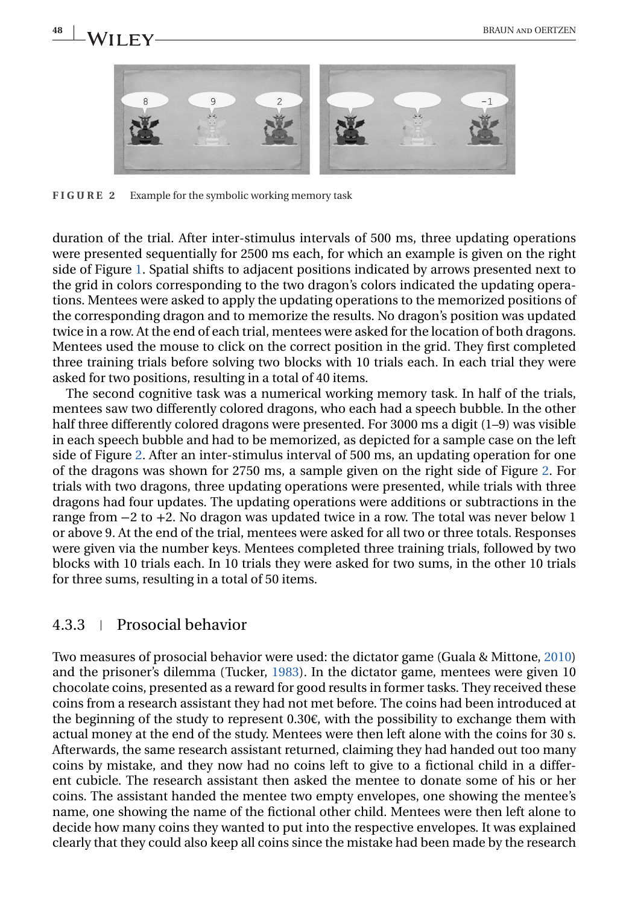

**FIGURE 2** Example for the symbolic working memory task

duration of the trial. After inter-stimulus intervals of 500 ms, three updating operations were presented sequentially for 2500 ms each, for which an example is given on the right side of Figure [1.](#page-6-0) Spatial shifts to adjacent positions indicated by arrows presented next to the grid in colors corresponding to the two dragon's colors indicated the updating operations. Mentees were asked to apply the updating operations to the memorized positions of the corresponding dragon and to memorize the results. No dragon's position was updated twice in a row. At the end of each trial, mentees were asked for the location of both dragons. Mentees used the mouse to click on the correct position in the grid. They first completed three training trials before solving two blocks with 10 trials each. In each trial they were asked for two positions, resulting in a total of 40 items.

The second cognitive task was a numerical working memory task. In half of the trials, mentees saw two differently colored dragons, who each had a speech bubble. In the other half three differently colored dragons were presented. For 3000 ms a digit (1–9) was visible in each speech bubble and had to be memorized, as depicted for a sample case on the left side of Figure 2. After an inter-stimulus interval of 500 ms, an updating operation for one of the dragons was shown for 2750 ms, a sample given on the right side of Figure 2. For trials with two dragons, three updating operations were presented, while trials with three dragons had four updates. The updating operations were additions or subtractions in the range from −2 to +2. No dragon was updated twice in a row. The total was never below 1 or above 9. At the end of the trial, mentees were asked for all two or three totals. Responses were given via the number keys. Mentees completed three training trials, followed by two blocks with 10 trials each. In 10 trials they were asked for two sums, in the other 10 trials for three sums, resulting in a total of 50 items.

#### 4.3.3 Prosocial behavior

Two measures of prosocial behavior were used: the dictator game (Guala & Mittone, [2010\)](#page-15-0) and the prisoner's dilemma (Tucker, [1983\)](#page-16-0). In the dictator game, mentees were given 10 chocolate coins, presented as a reward for good results in former tasks. They received these coins from a research assistant they had not met before. The coins had been introduced at the beginning of the study to represent  $0.30 $\epsilon$$ , with the possibility to exchange them with actual money at the end of the study. Mentees were then left alone with the coins for 30 s. Afterwards, the same research assistant returned, claiming they had handed out too many coins by mistake, and they now had no coins left to give to a fictional child in a different cubicle. The research assistant then asked the mentee to donate some of his or her coins. The assistant handed the mentee two empty envelopes, one showing the mentee's name, one showing the name of the fictional other child. Mentees were then left alone to decide how many coins they wanted to put into the respective envelopes. It was explained clearly that they could also keep all coins since the mistake had been made by the research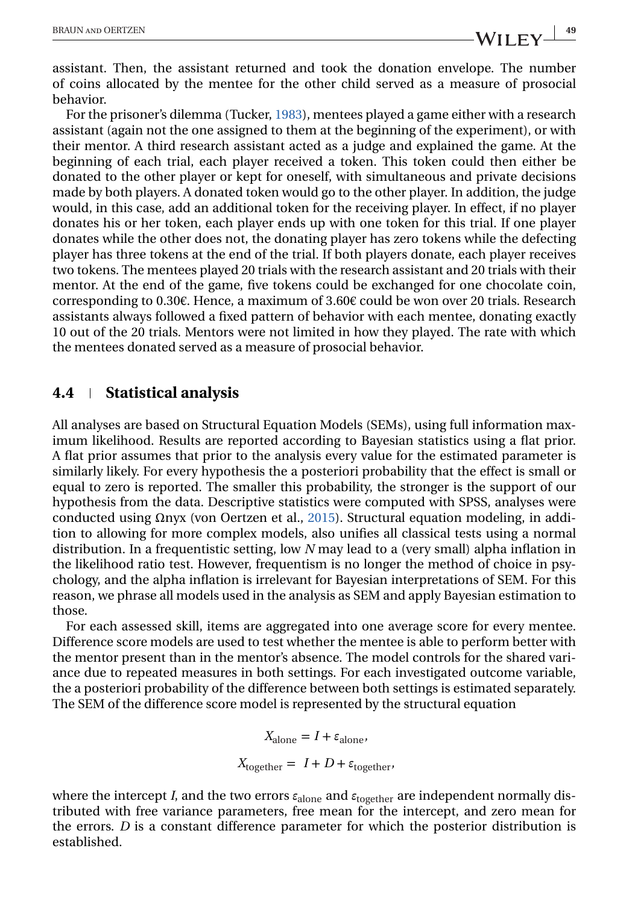assistant. Then, the assistant returned and took the donation envelope. The number of coins allocated by the mentee for the other child served as a measure of prosocial behavior.

For the prisoner's dilemma (Tucker, [1983\)](#page-16-0), mentees played a game either with a research assistant (again not the one assigned to them at the beginning of the experiment), or with their mentor. A third research assistant acted as a judge and explained the game. At the beginning of each trial, each player received a token. This token could then either be donated to the other player or kept for oneself, with simultaneous and private decisions made by both players. A donated token would go to the other player. In addition, the judge would, in this case, add an additional token for the receiving player. In effect, if no player donates his or her token, each player ends up with one token for this trial. If one player donates while the other does not, the donating player has zero tokens while the defecting player has three tokens at the end of the trial. If both players donate, each player receives two tokens. The mentees played 20 trials with the research assistant and 20 trials with their mentor. At the end of the game, five tokens could be exchanged for one chocolate coin, corresponding to 0.30€. Hence, a maximum of 3.60€ could be won over 20 trials. Research assistants always followed a fixed pattern of behavior with each mentee, donating exactly 10 out of the 20 trials. Mentors were not limited in how they played. The rate with which the mentees donated served as a measure of prosocial behavior.

#### **4.4 Statistical analysis**

All analyses are based on Structural Equation Models (SEMs), using full information maximum likelihood. Results are reported according to Bayesian statistics using a flat prior. A flat prior assumes that prior to the analysis every value for the estimated parameter is similarly likely. For every hypothesis the a posteriori probability that the effect is small or equal to zero is reported. The smaller this probability, the stronger is the support of our hypothesis from the data. Descriptive statistics were computed with SPSS, analyses were conducted using  $Ω$ nγx (von Oertzen et al., [2015\)](#page-16-0). Structural equation modeling, in addition to allowing for more complex models, also unifies all classical tests using a normal distribution. In a frequentistic setting, low *N* may lead to a (very small) alpha inflation in the likelihood ratio test. However, frequentism is no longer the method of choice in psychology, and the alpha inflation is irrelevant for Bayesian interpretations of SEM. For this reason, we phrase all models used in the analysis as SEM and apply Bayesian estimation to those.

For each assessed skill, items are aggregated into one average score for every mentee. Difference score models are used to test whether the mentee is able to perform better with the mentor present than in the mentor's absence. The model controls for the shared variance due to repeated measures in both settings. For each investigated outcome variable, the a posteriori probability of the difference between both settings is estimated separately. The SEM of the difference score model is represented by the structural equation

 $X_{\text{alone}} = I + \varepsilon_{\text{alone}}$ 

 $X_{\text{together}} = I + D + \varepsilon_{\text{together}}$ 

where the intercept *I*, and the two errors *ε*alone and *ε*together are independent normally distributed with free variance parameters, free mean for the intercept, and zero mean for the errors. *D* is a constant difference parameter for which the posterior distribution is established.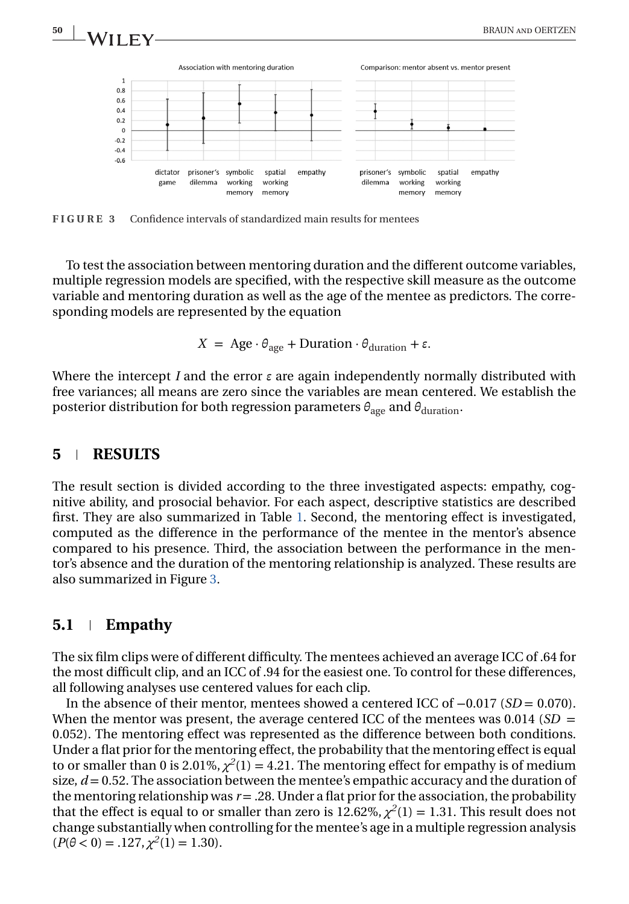

**FIGURE 3** Confidence intervals of standardized main results for mentees

To test the association between mentoring duration and the different outcome variables, multiple regression models are specified, with the respective skill measure as the outcome variable and mentoring duration as well as the age of the mentee as predictors. The corresponding models are represented by the equation

 $X = \text{Age} \cdot \theta_{\text{age}} + \text{Duration} \cdot \theta_{\text{duration}} + \varepsilon.$ 

Where the intercept *I* and the error *ε* are again independently normally distributed with free variances; all means are zero since the variables are mean centered. We establish the posterior distribution for both regression parameters  $θ_{\text{age}}$  and  $θ_{\text{duration}}$ .

#### **5 RESULTS**

The result section is divided according to the three investigated aspects: empathy, cognitive ability, and prosocial behavior. For each aspect, descriptive statistics are described first. They are also summarized in Table [1.](#page-5-0) Second, the mentoring effect is investigated, computed as the difference in the performance of the mentee in the mentor's absence compared to his presence. Third, the association between the performance in the mentor's absence and the duration of the mentoring relationship is analyzed. These results are also summarized in Figure 3.

#### **5.1 Empathy**

The six film clips were of different difficulty. The mentees achieved an average ICC of .64 for the most difficult clip, and an ICC of .94 for the easiest one. To control for these differences, all following analyses use centered values for each clip.

In the absence of their mentor, mentees showed a centered ICC of −0.017 (*SD* = 0.070). When the mentor was present, the average centered ICC of the mentees was  $0.014$  (*SD* = 0.052). The mentoring effect was represented as the difference between both conditions. Under a flat prior for the mentoring effect, the probability that the mentoring effect is equal to or smaller than 0 is 2.01%,  $\chi^2(1) = 4.21$ . The mentoring effect for empathy is of medium size,  $d = 0.52$ . The association between the mentee's empathic accuracy and the duration of the mentoring relationship was  $r = .28$ . Under a flat prior for the association, the probability that the effect is equal to or smaller than zero is  $12.62\%, \chi^2(1) = 1.31$ . This result does not change substantially when controlling for the mentee's age in a multiple regression analysis  $(P(\theta < 0) = .127, \chi^2(1) = 1.30).$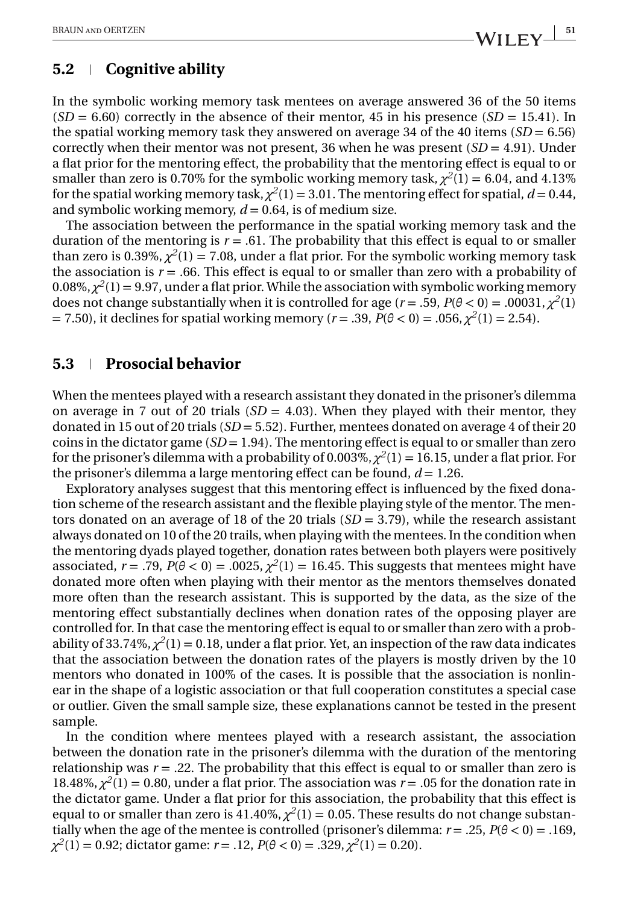## **5.2 Cognitive ability**

In the symbolic working memory task mentees on average answered 36 of the 50 items  $(SD = 6.60)$  correctly in the absence of their mentor, 45 in his presence  $(SD = 15.41)$ . In the spatial working memory task they answered on average 34 of the 40 items  $(SD = 6.56)$ correctly when their mentor was not present, 36 when he was present  $(SD = 4.91)$ . Under a flat prior for the mentoring effect, the probability that the mentoring effect is equal to or smaller than zero is 0.70% for the symbolic working memory task,  $\chi^2(1) = 6.04$ , and 4.13% for the spatial working memory task,  $\chi^2(1) = 3.01$ . The mentoring effect for spatial,  $d = 0.44$ , and symbolic working memory, *d* = 0.64, is of medium size.

The association between the performance in the spatial working memory task and the duration of the mentoring is  $r = .61$ . The probability that this effect is equal to or smaller than zero is 0.39%,  $\chi^2(1) = 7.08$ , under a flat prior. For the symbolic working memory task the association is  $r = .66$ . This effect is equal to or smaller than zero with a probability of  $0.08\%, \chi^2(1) = 9.97$ , under a flat prior. While the association with symbolic working memory does not change substantially when it is controlled for age ( $r = .59$ ,  $P(\theta < 0) = .00031$ ,  $\chi^2(1)$ ) = 7.50), it declines for spatial working memory ( $r = .39$ ,  $\bar{P}(\theta < 0) = .056$ ,  $\chi^2(1) = 2.54$ ).

### **5.3 Prosocial behavior**

When the mentees played with a research assistant they donated in the prisoner's dilemma on average in 7 out of 20 trials  $(SD = 4.03)$ . When they played with their mentor, they donated in 15 out of 20 trials (*SD* = 5.52). Further, mentees donated on average 4 of their 20 coins in the dictator game  $(SD = 1.94)$ . The mentoring effect is equal to or smaller than zero for the prisoner's dilemma with a probability of 0.003%,  $\chi^2(1) = 16.15$ , under a flat prior. For the prisoner's dilemma a large mentoring effect can be found, *d* = 1.26.

Exploratory analyses suggest that this mentoring effect is influenced by the fixed donation scheme of the research assistant and the flexible playing style of the mentor. The mentors donated on an average of 18 of the 20 trials (*SD* = 3.79), while the research assistant always donated on 10 of the 20 trails, when playing with the mentees. In the condition when the mentoring dyads played together, donation rates between both players were positively associated,  $r = .79$ ,  $P(\theta < 0) = .0025$ ,  $\chi^2(1) = 16.45$ . This suggests that mentees might have donated more often when playing with their mentor as the mentors themselves donated more often than the research assistant. This is supported by the data, as the size of the mentoring effect substantially declines when donation rates of the opposing player are controlled for. In that case the mentoring effect is equal to or smaller than zero with a probability of 33.74%,  $\chi^2(1) = 0.18$ , under a flat prior. Yet, an inspection of the raw data indicates that the association between the donation rates of the players is mostly driven by the 10 mentors who donated in 100% of the cases. It is possible that the association is nonlinear in the shape of a logistic association or that full cooperation constitutes a special case or outlier. Given the small sample size, these explanations cannot be tested in the present sample.

In the condition where mentees played with a research assistant, the association between the donation rate in the prisoner's dilemma with the duration of the mentoring relationship was  $r = 0.22$ . The probability that this effect is equal to or smaller than zero is 18.48%,  $\chi^2(1) = 0.80$ , under a flat prior. The association was  $r = .05$  for the donation rate in the dictator game. Under a flat prior for this association, the probability that this effect is equal to or smaller than zero is 41.40%,  $\chi^2(1) = 0.05$ . These results do not change substantially when the age of the mentee is controlled (prisoner's dilemma:  $r = .25$ ,  $P(\theta < 0) = .169$ ,  $\chi^2(1) = 0.92$ ; dictator game:  $r = .12$ ,  $P(\theta < 0) = .329$ ,  $\chi^2(1) = 0.20$ ).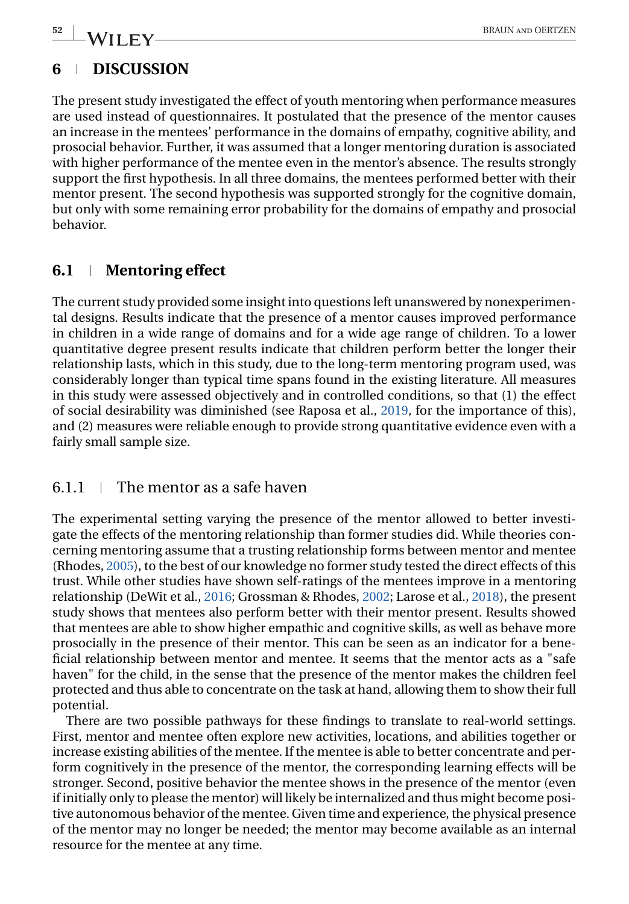## **6 DISCUSSION**

The present study investigated the effect of youth mentoring when performance measures are used instead of questionnaires. It postulated that the presence of the mentor causes an increase in the mentees' performance in the domains of empathy, cognitive ability, and prosocial behavior. Further, it was assumed that a longer mentoring duration is associated with higher performance of the mentee even in the mentor's absence. The results strongly support the first hypothesis. In all three domains, the mentees performed better with their mentor present. The second hypothesis was supported strongly for the cognitive domain, but only with some remaining error probability for the domains of empathy and prosocial behavior.

## **6.1 Mentoring effect**

The current study provided some insight into questions left unanswered by nonexperimental designs. Results indicate that the presence of a mentor causes improved performance in children in a wide range of domains and for a wide age range of children. To a lower quantitative degree present results indicate that children perform better the longer their relationship lasts, which in this study, due to the long-term mentoring program used, was considerably longer than typical time spans found in the existing literature. All measures in this study were assessed objectively and in controlled conditions, so that (1) the effect of social desirability was diminished (see Raposa et al., [2019,](#page-16-0) for the importance of this), and (2) measures were reliable enough to provide strong quantitative evidence even with a fairly small sample size.

## $6.1.1 \pm \text{The motor as a safe haven}$

The experimental setting varying the presence of the mentor allowed to better investigate the effects of the mentoring relationship than former studies did. While theories concerning mentoring assume that a trusting relationship forms between mentor and mentee (Rhodes, [2005\)](#page-16-0), to the best of our knowledge no former study tested the direct effects of this trust. While other studies have shown self-ratings of the mentees improve in a mentoring relationship (DeWit et al., [2016;](#page-14-0) Grossman & Rhodes, [2002;](#page-15-0) Larose et al., [2018\)](#page-15-0), the present study shows that mentees also perform better with their mentor present. Results showed that mentees are able to show higher empathic and cognitive skills, as well as behave more prosocially in the presence of their mentor. This can be seen as an indicator for a beneficial relationship between mentor and mentee. It seems that the mentor acts as a "safe haven" for the child, in the sense that the presence of the mentor makes the children feel protected and thus able to concentrate on the task at hand, allowing them to show their full potential.

There are two possible pathways for these findings to translate to real-world settings. First, mentor and mentee often explore new activities, locations, and abilities together or increase existing abilities of the mentee. If the mentee is able to better concentrate and perform cognitively in the presence of the mentor, the corresponding learning effects will be stronger. Second, positive behavior the mentee shows in the presence of the mentor (even if initially only to please the mentor) will likely be internalized and thus might become positive autonomous behavior of the mentee. Given time and experience, the physical presence of the mentor may no longer be needed; the mentor may become available as an internal resource for the mentee at any time.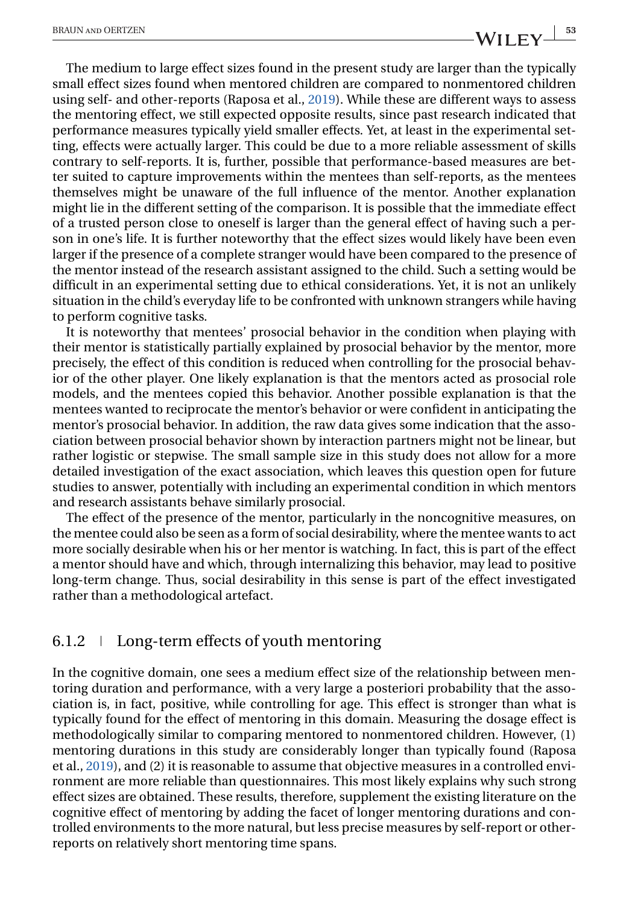The medium to large effect sizes found in the present study are larger than the typically small effect sizes found when mentored children are compared to nonmentored children using self- and other-reports (Raposa et al., [2019\)](#page-16-0). While these are different ways to assess the mentoring effect, we still expected opposite results, since past research indicated that performance measures typically yield smaller effects. Yet, at least in the experimental setting, effects were actually larger. This could be due to a more reliable assessment of skills contrary to self-reports. It is, further, possible that performance-based measures are better suited to capture improvements within the mentees than self-reports, as the mentees themselves might be unaware of the full influence of the mentor. Another explanation might lie in the different setting of the comparison. It is possible that the immediate effect of a trusted person close to oneself is larger than the general effect of having such a person in one's life. It is further noteworthy that the effect sizes would likely have been even larger if the presence of a complete stranger would have been compared to the presence of the mentor instead of the research assistant assigned to the child. Such a setting would be difficult in an experimental setting due to ethical considerations. Yet, it is not an unlikely situation in the child's everyday life to be confronted with unknown strangers while having to perform cognitive tasks.

It is noteworthy that mentees' prosocial behavior in the condition when playing with their mentor is statistically partially explained by prosocial behavior by the mentor, more precisely, the effect of this condition is reduced when controlling for the prosocial behavior of the other player. One likely explanation is that the mentors acted as prosocial role models, and the mentees copied this behavior. Another possible explanation is that the mentees wanted to reciprocate the mentor's behavior or were confident in anticipating the mentor's prosocial behavior. In addition, the raw data gives some indication that the association between prosocial behavior shown by interaction partners might not be linear, but rather logistic or stepwise. The small sample size in this study does not allow for a more detailed investigation of the exact association, which leaves this question open for future studies to answer, potentially with including an experimental condition in which mentors and research assistants behave similarly prosocial.

The effect of the presence of the mentor, particularly in the noncognitive measures, on the mentee could also be seen as a form of social desirability, where the mentee wants to act more socially desirable when his or her mentor is watching. In fact, this is part of the effect a mentor should have and which, through internalizing this behavior, may lead to positive long-term change. Thus, social desirability in this sense is part of the effect investigated rather than a methodological artefact.

#### $6.1.2 \perp$  Long-term effects of youth mentoring

In the cognitive domain, one sees a medium effect size of the relationship between mentoring duration and performance, with a very large a posteriori probability that the association is, in fact, positive, while controlling for age. This effect is stronger than what is typically found for the effect of mentoring in this domain. Measuring the dosage effect is methodologically similar to comparing mentored to nonmentored children. However, (1) mentoring durations in this study are considerably longer than typically found (Raposa et al., [2019\)](#page-16-0), and (2) it is reasonable to assume that objective measures in a controlled environment are more reliable than questionnaires. This most likely explains why such strong effect sizes are obtained. These results, therefore, supplement the existing literature on the cognitive effect of mentoring by adding the facet of longer mentoring durations and controlled environments to the more natural, but less precise measures by self-report or otherreports on relatively short mentoring time spans.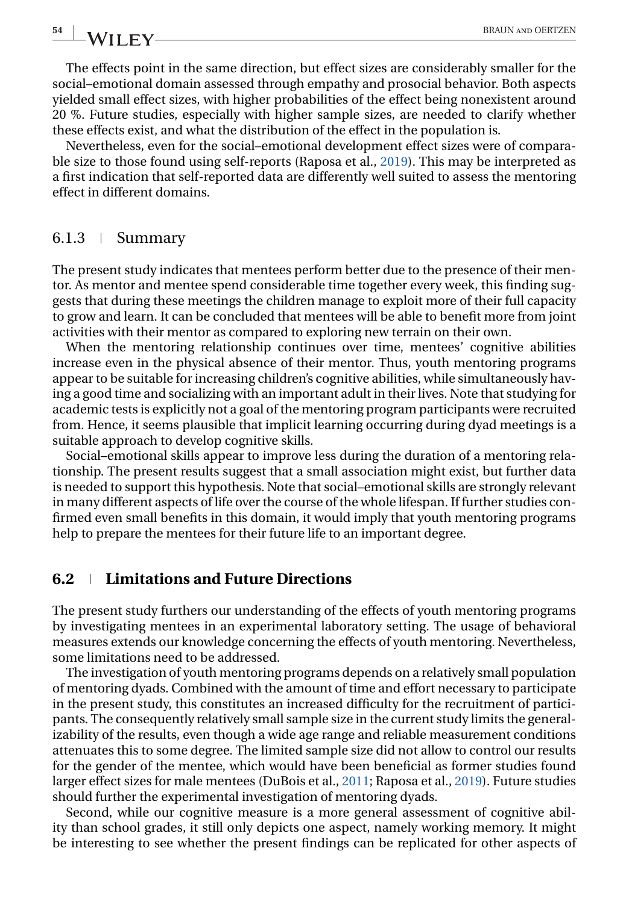The effects point in the same direction, but effect sizes are considerably smaller for the social–emotional domain assessed through empathy and prosocial behavior. Both aspects yielded small effect sizes, with higher probabilities of the effect being nonexistent around 20 %. Future studies, especially with higher sample sizes, are needed to clarify whether these effects exist, and what the distribution of the effect in the population is.

Nevertheless, even for the social–emotional development effect sizes were of comparable size to those found using self-reports (Raposa et al., [2019\)](#page-16-0). This may be interpreted as a first indication that self-reported data are differently well suited to assess the mentoring effect in different domains.

#### $6.1.3$  | Summary

The present study indicates that mentees perform better due to the presence of their mentor. As mentor and mentee spend considerable time together every week, this finding suggests that during these meetings the children manage to exploit more of their full capacity to grow and learn. It can be concluded that mentees will be able to benefit more from joint activities with their mentor as compared to exploring new terrain on their own.

When the mentoring relationship continues over time, mentees' cognitive abilities increase even in the physical absence of their mentor. Thus, youth mentoring programs appear to be suitable for increasing children's cognitive abilities, while simultaneously having a good time and socializing with an important adult in their lives. Note that studying for academic tests is explicitly not a goal of the mentoring program participants were recruited from. Hence, it seems plausible that implicit learning occurring during dyad meetings is a suitable approach to develop cognitive skills.

Social–emotional skills appear to improve less during the duration of a mentoring relationship. The present results suggest that a small association might exist, but further data is needed to support this hypothesis. Note that social–emotional skills are strongly relevant in many different aspects of life over the course of the whole lifespan. If further studies confirmed even small benefits in this domain, it would imply that youth mentoring programs help to prepare the mentees for their future life to an important degree.

#### **6.2 Limitations and Future Directions**

The present study furthers our understanding of the effects of youth mentoring programs by investigating mentees in an experimental laboratory setting. The usage of behavioral measures extends our knowledge concerning the effects of youth mentoring. Nevertheless, some limitations need to be addressed.

The investigation of youth mentoring programs depends on a relatively small population of mentoring dyads. Combined with the amount of time and effort necessary to participate in the present study, this constitutes an increased difficulty for the recruitment of participants. The consequently relatively small sample size in the current study limits the generalizability of the results, even though a wide age range and reliable measurement conditions attenuates this to some degree. The limited sample size did not allow to control our results for the gender of the mentee, which would have been beneficial as former studies found larger effect sizes for male mentees (DuBois et al., [2011;](#page-15-0) Raposa et al., [2019\)](#page-16-0). Future studies should further the experimental investigation of mentoring dyads.

Second, while our cognitive measure is a more general assessment of cognitive ability than school grades, it still only depicts one aspect, namely working memory. It might be interesting to see whether the present findings can be replicated for other aspects of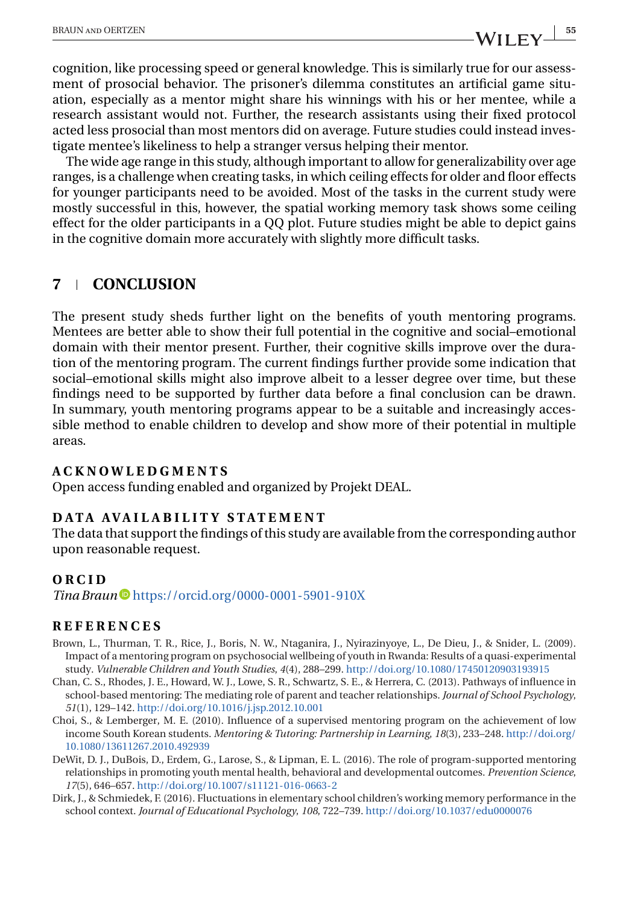<span id="page-14-0"></span>cognition, like processing speed or general knowledge. This is similarly true for our assessment of prosocial behavior. The prisoner's dilemma constitutes an artificial game situation, especially as a mentor might share his winnings with his or her mentee, while a research assistant would not. Further, the research assistants using their fixed protocol acted less prosocial than most mentors did on average. Future studies could instead investigate mentee's likeliness to help a stranger versus helping their mentor.

The wide age range in this study, although important to allow for generalizability over age ranges, is a challenge when creating tasks, in which ceiling effects for older and floor effects for younger participants need to be avoided. Most of the tasks in the current study were mostly successful in this, however, the spatial working memory task shows some ceiling effect for the older participants in a QQ plot. Future studies might be able to depict gains in the cognitive domain more accurately with slightly more difficult tasks.

## **7 CONCLUSION**

The present study sheds further light on the benefits of youth mentoring programs. Mentees are better able to show their full potential in the cognitive and social–emotional domain with their mentor present. Further, their cognitive skills improve over the duration of the mentoring program. The current findings further provide some indication that social–emotional skills might also improve albeit to a lesser degree over time, but these findings need to be supported by further data before a final conclusion can be drawn. In summary, youth mentoring programs appear to be a suitable and increasingly accessible method to enable children to develop and show more of their potential in multiple areas.

#### **ACKNOWLEDGMENTS**

Open access funding enabled and organized by Projekt DEAL.

#### **DATA AVAILABILITY STATEMENT**

The data that support the findings of this study are available from the corresponding author upon reasonable request.

#### **ORCID**

*Tina Braun* <https://orcid.org/0000-0001-5901-910X>

#### **REFERENCES**

- Brown, L., Thurman, T. R., Rice, J., Boris, N. W., Ntaganira, J., Nyirazinyoye, L., De Dieu, J., & Snider, L. (2009). Impact of a mentoring program on psychosocial wellbeing of youth in Rwanda: Results of a quasi-experimental study. *Vulnerable Children and Youth Studies*, *4*(4), 288–299. <http://doi.org/10.1080/17450120903193915>
- Chan, C. S., Rhodes, J. E., Howard, W. J., Lowe, S. R., Schwartz, S. E., & Herrera, C. (2013). Pathways of influence in school-based mentoring: The mediating role of parent and teacher relationships. *Journal of School Psychology*, *51*(1), 129–142. <http://doi.org/10.1016/j.jsp.2012.10.001>
- Choi, S., & Lemberger, M. E. (2010). Influence of a supervised mentoring program on the achievement of low income South Korean students. *Mentoring & Tutoring: Partnership in Learning*, *18*(3), 233–248. [http://doi.org/](http://doi.org/10.1080/13611267.2010.492939) [10.1080/13611267.2010.492939](http://doi.org/10.1080/13611267.2010.492939)
- DeWit, D. J., DuBois, D., Erdem, G., Larose, S., & Lipman, E. L. (2016). The role of program-supported mentoring relationships in promoting youth mental health, behavioral and developmental outcomes. *Prevention Science*, *17*(5), 646–657. <http://doi.org/10.1007/s11121-016-0663-2>
- Dirk, J., & Schmiedek, F. (2016). Fluctuations in elementary school children's working memory performance in the school context. *Journal of Educational Psychology*, *108*, 722–739. <http://doi.org/10.1037/edu0000076>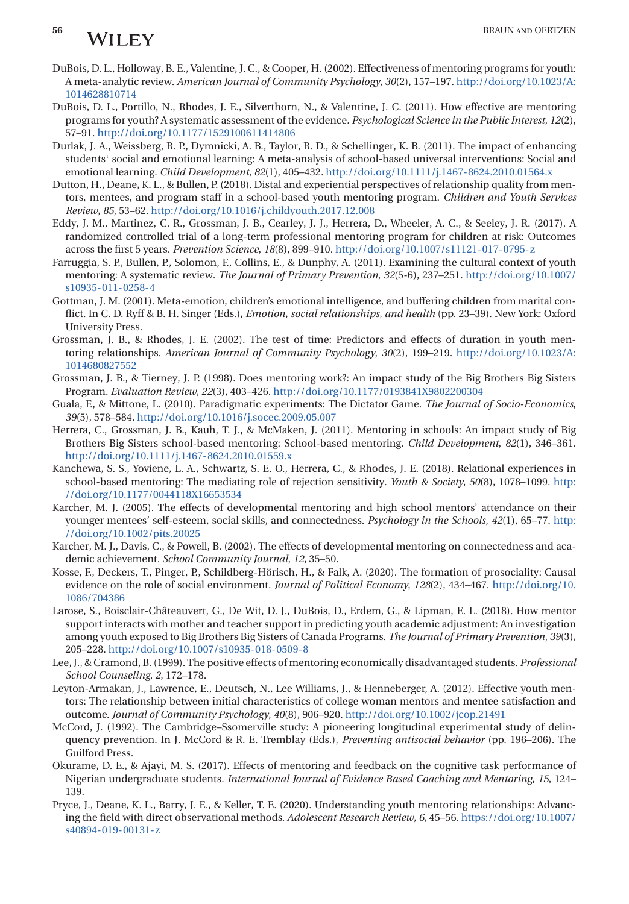# <span id="page-15-0"></span>**56 WILEY** BRAUN AND OERTZEN

- DuBois, D. L., Holloway, B. E., Valentine, J. C., & Cooper, H. (2002). Effectiveness of mentoring programs for youth: A meta-analytic review. *American Journal of Community Psychology*, *30*(2), 157–197. [http://doi.org/10.1023/A:](http://doi.org/10.1023/A:1014628810714) [1014628810714](http://doi.org/10.1023/A:1014628810714)
- DuBois, D. L., Portillo, N., Rhodes, J. E., Silverthorn, N., & Valentine, J. C. (2011). How effective are mentoring programs for youth? A systematic assessment of the evidence. *Psychological Science in the Public Interest*, *12*(2), 57–91. <http://doi.org/10.1177/1529100611414806>
- Durlak, J. A., Weissberg, R. P., Dymnicki, A. B., Taylor, R. D., & Schellinger, K. B. (2011). The impact of enhancing<br>students' social and emotional learning: A meta-analysis of school-based universal interventions: Social emotional learning. *Child Development*, *82*(1), 405–432. <http://doi.org/10.1111/j.1467-8624.2010.01564.x>
- Dutton, H., Deane, K. L., & Bullen, P. (2018). Distal and experiential perspectives of relationship quality from mentors, mentees, and program staff in a school-based youth mentoring program. *Children and Youth Services Review*, *85*, 53–62. <http://doi.org/10.1016/j.childyouth.2017.12.008>
- Eddy, J. M., Martinez, C. R., Grossman, J. B., Cearley, J. J., Herrera, D., Wheeler, A. C., & Seeley, J. R. (2017). A randomized controlled trial of a long-term professional mentoring program for children at risk: Outcomes across the first 5 years. *Prevention Science*, *18*(8), 899–910. <http://doi.org/10.1007/s11121-017-0795-z>
- Farruggia, S. P., Bullen, P., Solomon, F., Collins, E., & Dunphy, A. (2011). Examining the cultural context of youth mentoring: A systematic review. *The Journal of Primary Prevention*, *32*(5-6), 237–251. [http://doi.org/10.1007/](http://doi.org/10.1007/s10935-011-0258-4) [s10935-011-0258-4](http://doi.org/10.1007/s10935-011-0258-4)
- Gottman, J. M. (2001). Meta-emotion, children's emotional intelligence, and buffering children from marital conflict. In C. D. Ryff & B. H. Singer (Eds.), *Emotion, social relationships, and health* (pp. 23–39). New York: Oxford University Press.
- Grossman, J. B., & Rhodes, J. E. (2002). The test of time: Predictors and effects of duration in youth mentoring relationships. *American Journal of Community Psychology*, *30*(2), 199–219. [http://doi.org/10.1023/A:](http://doi.org/10.1023/A:1014680827552) [1014680827552](http://doi.org/10.1023/A:1014680827552)
- Grossman, J. B., & Tierney, J. P. (1998). Does mentoring work?: An impact study of the Big Brothers Big Sisters Program. *Evaluation Review*, *22*(3), 403–426. <http://doi.org/10.1177/0193841X9802200304>
- Guala, F., & Mittone, L. (2010). Paradigmatic experiments: The Dictator Game. *The Journal of Socio-Economics*, *39*(5), 578–584. <http://doi.org/10.1016/j.socec.2009.05.007>
- Herrera, C., Grossman, J. B., Kauh, T. J., & McMaken, J. (2011). Mentoring in schools: An impact study of Big Brothers Big Sisters school-based mentoring: School-based mentoring. *Child Development*, *82*(1), 346–361. <http://doi.org/10.1111/j.1467-8624.2010.01559.x>
- Kanchewa, S. S., Yoviene, L. A., Schwartz, S. E. O., Herrera, C., & Rhodes, J. E. (2018). Relational experiences in school-based mentoring: The mediating role of rejection sensitivity. *Youth & Society*, *50*(8), 1078–1099. [http:](http://doi.org/10.1177/0044118X16653534) [//doi.org/10.1177/0044118X16653534](http://doi.org/10.1177/0044118X16653534)
- Karcher, M. J. (2005). The effects of developmental mentoring and high school mentors' attendance on their younger mentees' self-esteem, social skills, and connectedness. *Psychology in the Schools*, *42*(1), 65–77. [http:](http://doi.org/10.1002/pits.20025) [//doi.org/10.1002/pits.20025](http://doi.org/10.1002/pits.20025)
- Karcher, M. J., Davis, C., & Powell, B. (2002). The effects of developmental mentoring on connectedness and academic achievement. *School Community Journal*, *12*, 35–50.
- Kosse, F., Deckers, T., Pinger, P., Schildberg-Hörisch, H., & Falk, A. (2020). The formation of prosociality: Causal evidence on the role of social environment. *Journal of Political Economy*, *128*(2), 434–467. [http://doi.org/10.](http://doi.org/10.1086/704386) [1086/704386](http://doi.org/10.1086/704386)
- Larose, S., Boisclair-Châteauvert, G., De Wit, D. J., DuBois, D., Erdem, G., & Lipman, E. L. (2018). How mentor support interacts with mother and teacher support in predicting youth academic adjustment: An investigation among youth exposed to Big Brothers Big Sisters of Canada Programs. *The Journal of Primary Prevention*, *39*(3), 205–228. <http://doi.org/10.1007/s10935-018-0509-8>
- Lee, J., & Cramond, B. (1999). The positive effects of mentoring economically disadvantaged students. *Professional School Counseling*, *2*, 172–178.
- Leyton-Armakan, J., Lawrence, E., Deutsch, N., Lee Williams, J., & Henneberger, A. (2012). Effective youth mentors: The relationship between initial characteristics of college woman mentors and mentee satisfaction and outcome. *Journal of Community Psychology*, *40*(8), 906–920. <http://doi.org/10.1002/jcop.21491>
- McCord, J. (1992). The Cambridge–Ssomerville study: A pioneering longitudinal experimental study of delinquency prevention. In J. McCord & R. E. Tremblay (Eds.), *Preventing antisocial behavior* (pp. 196–206). The Guilford Press.
- Okurame, D. E., & Ajayi, M. S. (2017). Effects of mentoring and feedback on the cognitive task performance of Nigerian undergraduate students. *International Journal of Evidence Based Coaching and Mentoring*, *15*, 124– 139.
- Pryce, J., Deane, K. L., Barry, J. E., & Keller, T. E. (2020). Understanding youth mentoring relationships: Advancing the field with direct observational methods. *Adolescent Research Review*, *6*, 45–56. [https://doi.org/10.1007/](https://doi.org/10.1007/s40894-019-00131-z) [s40894-019-00131-z](https://doi.org/10.1007/s40894-019-00131-z)